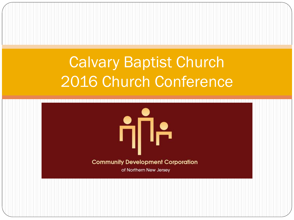#### Calvary Baptist Church 2016 Church Conference

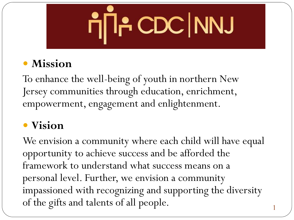## ר¶חן CDC | NNJ

#### **Mission**

To enhance the well-being of youth in northern New Jersey communities through education, enrichment, empowerment, engagement and enlightenment.

#### **Vision**

We envision a community where each child will have equal opportunity to achieve success and be afforded the framework to understand what success means on a personal level. Further, we envision a community impassioned with recognizing and supporting the diversity of the gifts and talents of all people.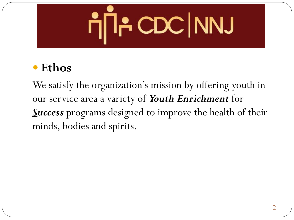## η้∏÷ CDC NNJ

#### **Ethos**

We satisfy the organization's mission by offering youth in our service area a variety of *Youth Enrichment* for *Success* programs designed to improve the health of their minds, bodies and spirits.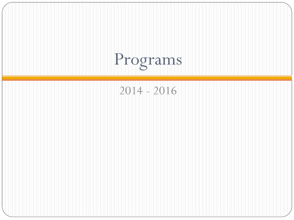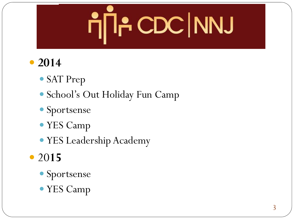### η้∏÷ CDC NNJ

#### **2014**

- SAT Prep
- School's Out Holiday Fun Camp
- Sportsense
- YES Camp
- YES Leadership Academy
- 20**15**
	- Sportsense
	- YES Camp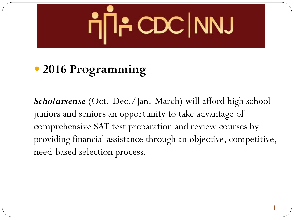### η้∏÷ CDC NNJ

#### **2016 Programming**

*Scholarsense* (Oct.-Dec./Jan.-March) will afford high school juniors and seniors an opportunity to take advantage of comprehensive SAT test preparation and review courses by providing financial assistance through an objective, competitive, need-based selection process.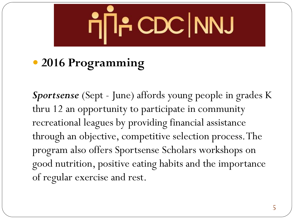### רן A CDC NNJ

#### **2016 Programming**

*Sportsense* (Sept - June) affords young people in grades K thru 12 an opportunity to participate in community recreational leagues by providing financial assistance through an objective, competitive selection process. The program also offers Sportsense Scholars workshops on good nutrition, positive eating habits and the importance of regular exercise and rest.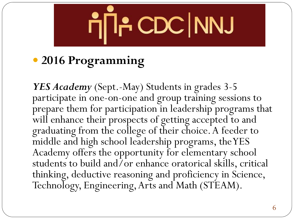### <mark>η้∏- CDC | NNJ</mark>

#### **2016 Programming**

*YES Academy* (Sept.-May) Students in grades 3-5 participate in one-on-one and group training sessions to prepare them for participation in leadership programs that will enhance their prospects of getting accepted to and graduating from the college of their choice. A feeder to middle and high school leadership programs, the YES Academy offers the opportunity for elementary school students to build and/or enhance oratorical skills, critical thinking, deductive reasoning and proficiency in Science, Technology, Engineering, Arts and Math (STEAM).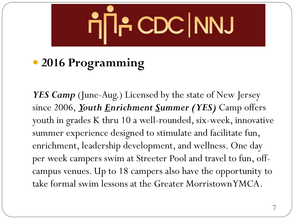

#### **2016 Programming**

YES Camp (June-Aug.) Licensed by the state of New Jersey since 2006, *Youth Enrichment Summer (YES)* Camp offers youth in grades K thru 10 a well-rounded, six-week, innovative summer experience designed to stimulate and facilitate fun, enrichment, leadership development, and wellness. One day per week campers swim at Streeter Pool and travel to fun, offcampus venues. Up to 18 campers also have the opportunity to take formal swim lessons at the Greater Morristown YMCA.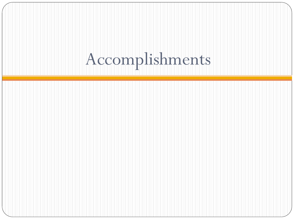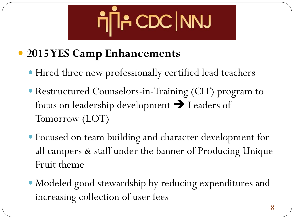### רן CDC NNJ

#### **2015 YES Camp Enhancements**

- Hired three new professionally certified lead teachers
- Restructured Counselors-in-Training (CIT) program to focus on leadership development  $\rightarrow$  Leaders of Tomorrow (LOT)
- Focused on team building and character development for all campers & staff under the banner of Producing Unique Fruit theme
- Modeled good stewardship by reducing expenditures and increasing collection of user fees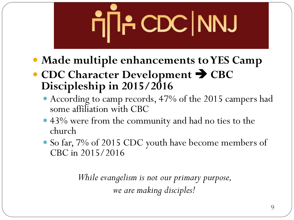# רן A CDC NNJ

- **Made multiple enhancements to YES Camp**
- CDC Character Development  $\rightarrow$  CBC **Discipleship in 2015/2016**
	- According to camp records, 47% of the 2015 campers had some affiliation with CBC
	- 43% were from the community and had no ties to the church
	- So far, 7% of 2015 CDC youth have become members of CBC in 2015/2016

*While evangelism is not our primary purpose, we are making disciples!*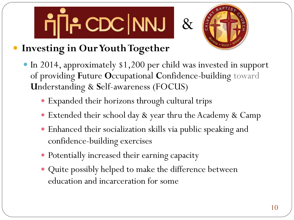



#### **Investing in Our Youth Together**

- In 2014, approximately \$1,200 per child was invested in support of providing **F**uture **O**ccupational **C**onfidence-building toward **U**nderstanding & **S**elf-awareness (FOCUS)
	- Expanded their horizons through cultural trips
	- Extended their school day & year thru the Academy & Camp
	- Enhanced their socialization skills via public speaking and confidence-building exercises
	- Potentially increased their earning capacity
	- Quite possibly helped to make the difference between education and incarceration for some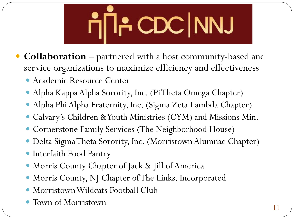### <mark>η้∏- CDC NNJ</mark>

- **Collaboration**  partnered with a host community-based and service organizations to maximize efficiency and effectiveness
	- Academic Resource Center
	- Alpha Kappa Alpha Sorority, Inc. (Pi Theta Omega Chapter)
	- Alpha Phi Alpha Fraternity, Inc. (Sigma Zeta Lambda Chapter)
	- Calvary's Children & Youth Ministries (CYM) and Missions Min.
	- Cornerstone Family Services (The Neighborhood House)
	- Delta Sigma Theta Sorority, Inc. (Morristown Alumnae Chapter)
	- Interfaith Food Pantry
	- Morris County Chapter of Jack & Jill of America
	- Morris County, NJ Chapter of The Links, Incorporated
	- Morristown Wildcats Football Club
	- Town of Morristown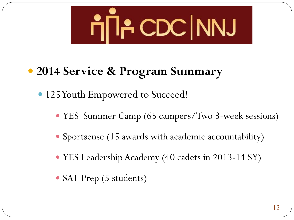

#### **2014 Service & Program Summary**

• 125 Youth Empowered to Succeed!

- YES Summer Camp (65 campers/Two 3-week sessions)
- Sportsense (15 awards with academic accountability)
- YES Leadership Academy (40 cadets in 2013-14 SY)
- SAT Prep (5 students)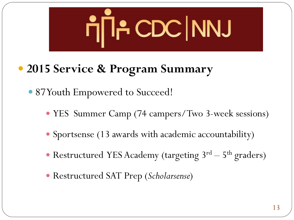

**2015 Service & Program Summary** 

• 87 Youth Empowered to Succeed!

- YES Summer Camp (74 campers/Two 3-week sessions)
- Sportsense (13 awards with academic accountability)
- Restructured YES Academy (targeting 3<sup>rd</sup> 5<sup>th</sup> graders)
- Restructured SAT Prep (*Scholarsense*)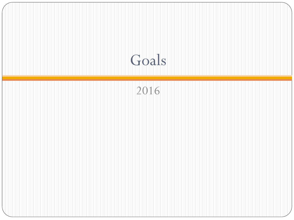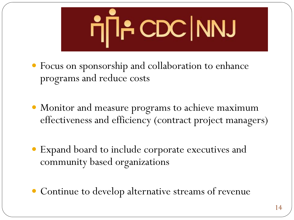

- Focus on sponsorship and collaboration to enhance programs and reduce costs
- Monitor and measure programs to achieve maximum effectiveness and efficiency (contract project managers)
- Expand board to include corporate executives and community based organizations
- Continue to develop alternative streams of revenue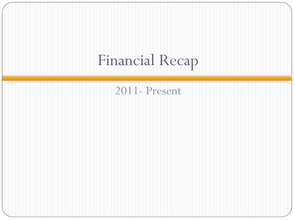### Financial Recap

#### 2011- Present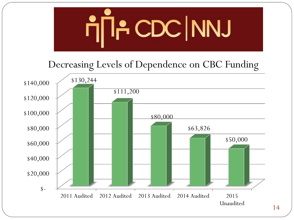

14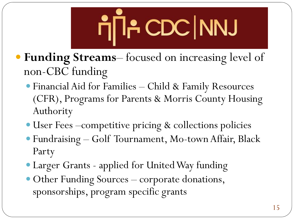

- **Funding Streams** focused on increasing level of non-CBC funding
	- Financial Aid for Families Child & Family Resources (CFR), Programs for Parents & Morris County Housing Authority
	- User Fees –competitive pricing & collections policies
	- Fundraising Golf Tournament, Mo-town Affair, Black Party
	- Larger Grants applied for United Way funding
	- Other Funding Sources corporate donations, sponsorships, program specific grants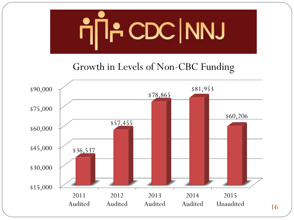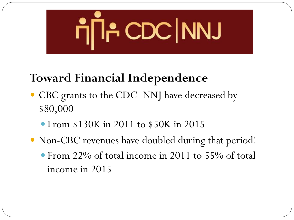

#### **Toward Financial Independence**

- CBC grants to the CDC | NNJ have decreased by \$80,000
	- From \$130K in 2011 to \$50K in 2015
- Non-CBC revenues have doubled during that period!
	- From 22% of total income in 2011 to 55% of total income in 2015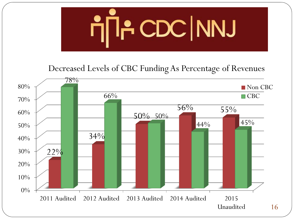

Decreased Levels of CBC Funding As Percentage of Revenues

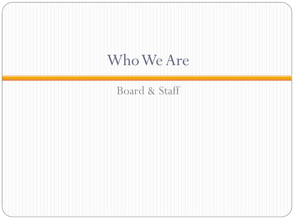#### Who We Are

#### Board & Staff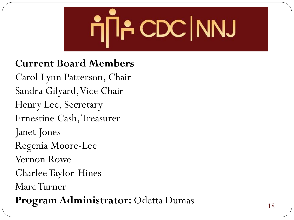

#### **Current Board Members**

Carol Lynn Patterson, Chair Sandra Gilyard, Vice Chair Henry Lee, Secretary Ernestine Cash, Treasurer Janet Jones Regenia Moore-Lee Vernon Rowe Charlee Taylor-Hines Marc Turner **Program Administrator:** Odetta Dumas